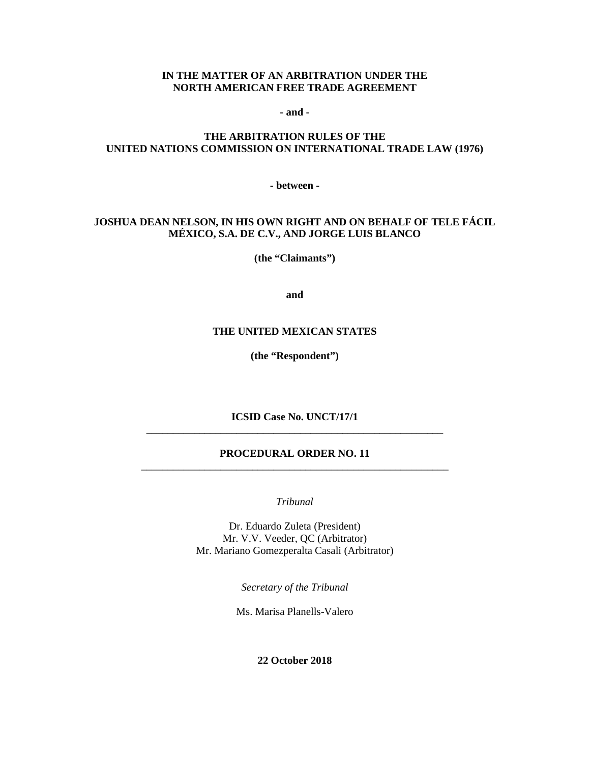#### **IN THE MATTER OF AN ARBITRATION UNDER THE NORTH AMERICAN FREE TRADE AGREEMENT**

**- and -**

### **THE ARBITRATION RULES OF THE UNITED NATIONS COMMISSION ON INTERNATIONAL TRADE LAW (1976)**

**- between -**

### **JOSHUA DEAN NELSON, IN HIS OWN RIGHT AND ON BEHALF OF TELE FÁCIL MÉXICO, S.A. DE C.V., AND JORGE LUIS BLANCO**

**(the "Claimants")**

**and**

#### **THE UNITED MEXICAN STATES**

**(the "Respondent")**

**ICSID Case No. UNCT/17/1** \_\_\_\_\_\_\_\_\_\_\_\_\_\_\_\_\_\_\_\_\_\_\_\_\_\_\_\_\_\_\_\_\_\_\_\_\_\_\_\_\_\_\_\_\_\_\_\_\_\_\_\_\_\_\_\_

#### **PROCEDURAL ORDER NO. 11** \_\_\_\_\_\_\_\_\_\_\_\_\_\_\_\_\_\_\_\_\_\_\_\_\_\_\_\_\_\_\_\_\_\_\_\_\_\_\_\_\_\_\_\_\_\_\_\_\_\_\_\_\_\_\_\_\_\_

*Tribunal*

Dr. Eduardo Zuleta (President) Mr. V.V. Veeder, QC (Arbitrator) Mr. Mariano Gomezperalta Casali (Arbitrator)

*Secretary of the Tribunal*

Ms. Marisa Planells-Valero

**22 October 2018**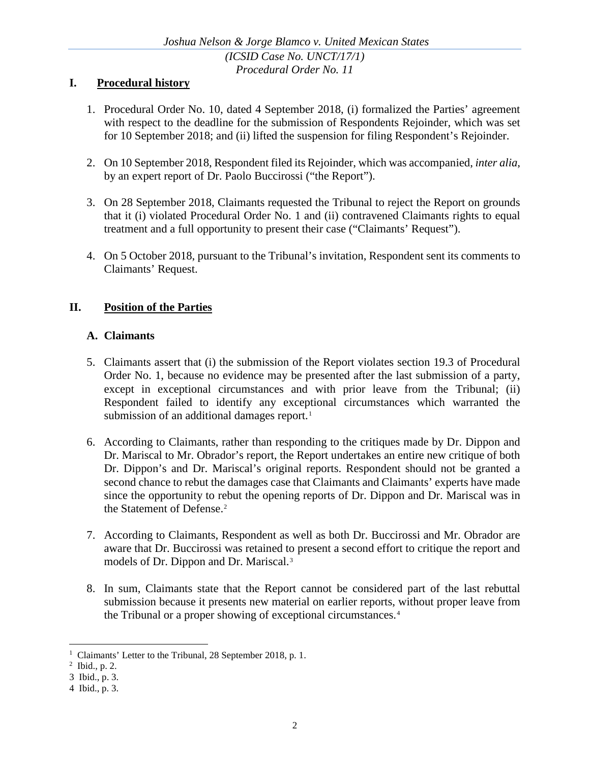## **I. Procedural history**

- 1. Procedural Order No. 10, dated 4 September 2018, (i) formalized the Parties' agreement with respect to the deadline for the submission of Respondents Rejoinder, which was set for 10 September 2018; and (ii) lifted the suspension for filing Respondent's Rejoinder.
- 2. On 10 September 2018, Respondent filed its Rejoinder, which was accompanied, *inter alia*, by an expert report of Dr. Paolo Buccirossi ("the Report").
- 3. On 28 September 2018, Claimants requested the Tribunal to reject the Report on grounds that it (i) violated Procedural Order No. 1 and (ii) contravened Claimants rights to equal treatment and a full opportunity to present their case ("Claimants' Request").
- 4. On 5 October 2018, pursuant to the Tribunal's invitation, Respondent sent its comments to Claimants' Request.

## **II. Position of the Parties**

### **A. Claimants**

- 5. Claimants assert that (i) the submission of the Report violates section 19.3 of Procedural Order No. 1, because no evidence may be presented after the last submission of a party, except in exceptional circumstances and with prior leave from the Tribunal; (ii) Respondent failed to identify any exceptional circumstances which warranted the submission of an additional damages report.<sup>[1](#page-1-0)</sup>
- 6. According to Claimants, rather than responding to the critiques made by Dr. Dippon and Dr. Mariscal to Mr. Obrador's report, the Report undertakes an entire new critique of both Dr. Dippon's and Dr. Mariscal's original reports. Respondent should not be granted a second chance to rebut the damages case that Claimants and Claimants' experts have made since the opportunity to rebut the opening reports of Dr. Dippon and Dr. Mariscal was in the Statement of Defense.<sup>[2](#page-1-1)</sup>
- 7. According to Claimants, Respondent as well as both Dr. Buccirossi and Mr. Obrador are aware that Dr. Buccirossi was retained to present a second effort to critique the report and models of Dr. Dippon and Dr. Mariscal.[3](#page-1-2)
- 8. In sum, Claimants state that the Report cannot be considered part of the last rebuttal submission because it presents new material on earlier reports, without proper leave from the Tribunal or a proper showing of exceptional circumstances.<sup>[4](#page-1-3)</sup>

<span id="page-1-0"></span><sup>&</sup>lt;sup>1</sup> Claimants' Letter to the Tribunal, 28 September 2018, p. 1.

<span id="page-1-1"></span><sup>2</sup> Ibid., p. 2.

<span id="page-1-2"></span><sup>3</sup> Ibid., p. 3.

<span id="page-1-3"></span><sup>4</sup> Ibid., p. 3.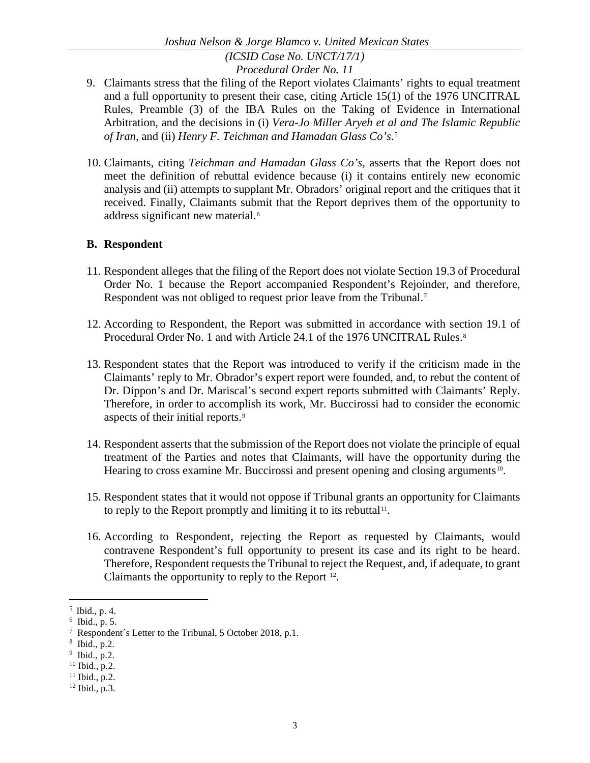- 9. Claimants stress that the filing of the Report violates Claimants' rights to equal treatment and a full opportunity to present their case, citing Article 15(1) of the 1976 UNCITRAL Rules, Preamble (3) of the IBA Rules on the Taking of Evidence in International Arbitration, and the decisions in (i) *Vera-Jo Miller Aryeh et al and The Islamic Republic of Iran,* and (ii) *Henry F. Teichman and Hamadan Glass Co's*. [5](#page-2-0)
- 10. Claimants, citing *Teichman and Hamadan Glass Co's,* asserts that the Report does not meet the definition of rebuttal evidence because (i) it contains entirely new economic analysis and (ii) attempts to supplant Mr. Obradors' original report and the critiques that it received. Finally, Claimants submit that the Report deprives them of the opportunity to address significant new material.<sup>[6](#page-2-1)</sup>

## **B. Respondent**

- 11. Respondent alleges that the filing of the Report does not violate Section 19.3 of Procedural Order No. 1 because the Report accompanied Respondent's Rejoinder, and therefore, Respondent was not obliged to request prior leave from the Tribunal.<sup>[7](#page-2-2)</sup>
- 12. According to Respondent, the Report was submitted in accordance with section 19.1 of Procedural Order No. 1 and with Article 24.1 of the 1976 UNCITRAL Rules.<sup>[8](#page-2-3)</sup>
- 13. Respondent states that the Report was introduced to verify if the criticism made in the Claimants' reply to Mr. Obrador's expert report were founded, and, to rebut the content of Dr. Dippon's and Dr. Mariscal's second expert reports submitted with Claimants' Reply. Therefore, in order to accomplish its work, Mr. Buccirossi had to consider the economic aspects of their initial reports.[9](#page-2-4)
- 14. Respondent asserts that the submission of the Report does not violate the principle of equal treatment of the Parties and notes that Claimants, will have the opportunity during the Hearing to cross examine Mr. Buccirossi and present opening and closing arguments<sup>[10](#page-2-5)</sup>.
- 15. Respondent states that it would not oppose if Tribunal grants an opportunity for Claimants to reply to the Report promptly and limiting it to its rebuttal $11$ .
- 16. According to Respondent, rejecting the Report as requested by Claimants, would contravene Respondent's full opportunity to present its case and its right to be heard. Therefore, Respondent requests the Tribunal to reject the Request, and, if adequate, to grant Claimants the opportunity to reply to the Report [12.](#page-2-7)

<span id="page-2-0"></span> <sup>5</sup> Ibid., p. 4.

<span id="page-2-1"></span> $6$  Ibid., p. 5.

<span id="page-2-2"></span><sup>7</sup> Respondent´s Letter to the Tribunal, 5 October 2018, p.1.

<span id="page-2-3"></span><sup>8</sup> Ibid., p.2.

<span id="page-2-4"></span><sup>9</sup> Ibid., p.2.

<span id="page-2-5"></span> $10$  Ibid., p.2.

<span id="page-2-6"></span> $11$  Ibid., p.2.

<span id="page-2-7"></span> $12$  Ibid., p.3.